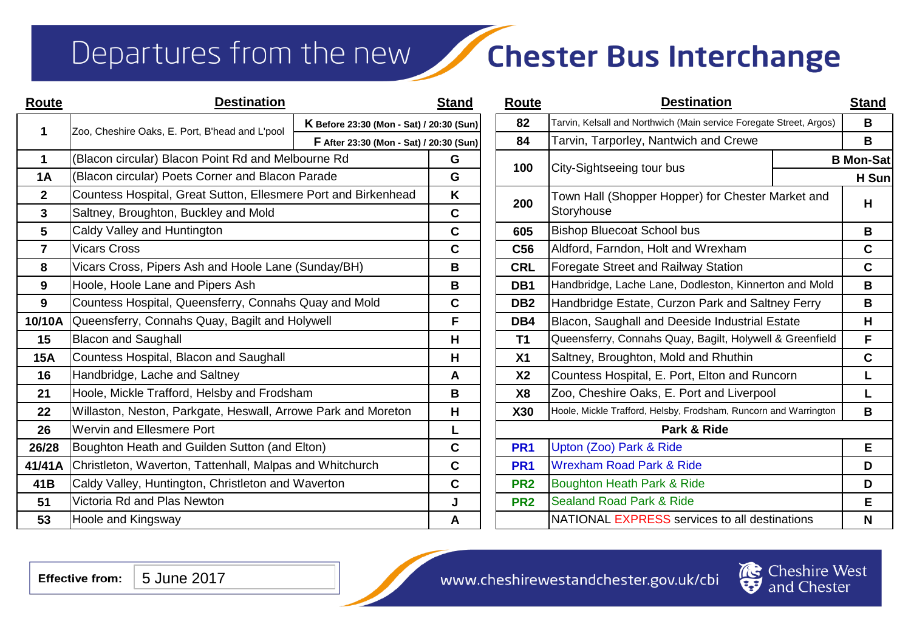### Departures from the new

## **Chester Bus Interchange**

| Route          | <b>Destination</b>                                             |                                          | <b>Stand</b>                                       | Route           | <b>Destination</b>                                                  |  | <b>Stand</b>     |
|----------------|----------------------------------------------------------------|------------------------------------------|----------------------------------------------------|-----------------|---------------------------------------------------------------------|--|------------------|
| 1              | Zoo, Cheshire Oaks, E. Port, B'head and L'pool                 | K Before 23:30 (Mon - Sat) / 20:30 (Sun) |                                                    | 82              | Tarvin, Kelsall and Northwich (Main service Foregate Street, Argos) |  | B                |
|                |                                                                |                                          | F After 23:30 (Mon - Sat) / 20:30 (Sun)            |                 | Tarvin, Tarporley, Nantwich and Crewe                               |  | B                |
| 1              | (Blacon circular) Blacon Point Rd and Melbourne Rd             |                                          | G                                                  | 100             |                                                                     |  | <b>B</b> Mon-Sat |
| <b>1A</b>      | (Blacon circular) Poets Corner and Blacon Parade               | City-Sightseeing tour bus<br>G           |                                                    |                 | H Sun                                                               |  |                  |
| $\mathbf{2}$   | Countess Hospital, Great Sutton, Ellesmere Port and Birkenhead |                                          | K                                                  | 200             | Town Hall (Shopper Hopper) for Chester Market and                   |  | н                |
| $\mathbf{3}$   | Saltney, Broughton, Buckley and Mold                           |                                          | $\mathbf c$                                        | Storyhouse      |                                                                     |  |                  |
| 5              | Caldy Valley and Huntington                                    |                                          | C                                                  | 605             | <b>Bishop Bluecoat School bus</b>                                   |  | B                |
| $\overline{7}$ | <b>Vicars Cross</b>                                            |                                          | $\mathbf c$                                        | C <sub>56</sub> | Aldford, Farndon, Holt and Wrexham                                  |  | $\mathbf c$      |
| 8              | Vicars Cross, Pipers Ash and Hoole Lane (Sunday/BH)            |                                          | B                                                  | <b>CRL</b>      | Foregate Street and Railway Station                                 |  | $\mathbf{C}$     |
| 9              | Hoole, Hoole Lane and Pipers Ash                               |                                          | B                                                  | DB1             | Handbridge, Lache Lane, Dodleston, Kinnerton and Mold               |  | B                |
| 9              | Countess Hospital, Queensferry, Connahs Quay and Mold          |                                          | C                                                  | DB <sub>2</sub> | Handbridge Estate, Curzon Park and Saltney Ferry                    |  | B                |
| 10/10A         | Queensferry, Connahs Quay, Bagilt and Holywell                 |                                          | F                                                  | DB4             | Blacon, Saughall and Deeside Industrial Estate                      |  | H                |
| 15             | <b>Blacon and Saughall</b>                                     |                                          | H                                                  | T1              | Queensferry, Connahs Quay, Bagilt, Holywell & Greenfield            |  | F                |
| <b>15A</b>     | Countess Hospital, Blacon and Saughall                         |                                          | H                                                  | X <sub>1</sub>  | Saltney, Broughton, Mold and Rhuthin                                |  | C                |
| 16             | Handbridge, Lache and Saltney                                  |                                          | A                                                  | X <sub>2</sub>  | Countess Hospital, E. Port, Elton and Runcorn                       |  | L                |
| 21             | Hoole, Mickle Trafford, Helsby and Frodsham                    |                                          | B                                                  | <b>X8</b>       | Zoo, Cheshire Oaks, E. Port and Liverpool                           |  |                  |
| 22             | Willaston, Neston, Parkgate, Heswall, Arrowe Park and Moreton  |                                          | H                                                  | <b>X30</b>      | Hoole, Mickle Trafford, Helsby, Frodsham, Runcorn and Warrington    |  | B                |
| 26             | <b>Wervin and Ellesmere Port</b>                               |                                          | L                                                  |                 | Park & Ride                                                         |  |                  |
| 26/28          | Boughton Heath and Guilden Sutton (and Elton)                  |                                          | C                                                  | PR <sub>1</sub> | Upton (Zoo) Park & Ride                                             |  | E                |
| 41/41A         | Christleton, Waverton, Tattenhall, Malpas and Whitchurch       |                                          | $\mathbf c$                                        | PR <sub>1</sub> | <b>Wrexham Road Park &amp; Ride</b>                                 |  | D                |
| 41B            | Caldy Valley, Huntington, Christleton and Waverton             |                                          | $\mathbf c$                                        | PR <sub>2</sub> | Boughton Heath Park & Ride                                          |  | D                |
| 51             | Victoria Rd and Plas Newton                                    |                                          | J                                                  | PR <sub>2</sub> | <b>Sealand Road Park &amp; Ride</b>                                 |  | E.               |
| 53             | Hoole and Kingsway                                             |                                          | NATIONAL EXPRESS services to all destinations<br>A |                 | N                                                                   |  |                  |

| <b>Route</b>    | <b>Destination</b>                                                  |  |                  |  |  |  |  |
|-----------------|---------------------------------------------------------------------|--|------------------|--|--|--|--|
| 82              | Tarvin, Kelsall and Northwich (Main service Foregate Street, Argos) |  |                  |  |  |  |  |
| 84              | Tarvin, Tarporley, Nantwich and Crewe                               |  |                  |  |  |  |  |
| 100             |                                                                     |  | <b>B</b> Mon-Sat |  |  |  |  |
|                 | City-Sightseeing tour bus                                           |  | H Sun            |  |  |  |  |
| 200             | Town Hall (Shopper Hopper) for Chester Market and<br>Storyhouse     |  |                  |  |  |  |  |
| 605             | <b>Bishop Bluecoat School bus</b>                                   |  |                  |  |  |  |  |
| C56             | Aldford, Farndon, Holt and Wrexham                                  |  |                  |  |  |  |  |
| <b>CRL</b>      | Foregate Street and Railway Station                                 |  |                  |  |  |  |  |
| DB1             | Handbridge, Lache Lane, Dodleston, Kinnerton and Mold               |  |                  |  |  |  |  |
| DB <sub>2</sub> | Handbridge Estate, Curzon Park and Saltney Ferry                    |  |                  |  |  |  |  |
| DB4             | Blacon, Saughall and Deeside Industrial Estate                      |  |                  |  |  |  |  |
| <b>T1</b>       | Queensferry, Connahs Quay, Bagilt, Holywell & Greenfield            |  |                  |  |  |  |  |
| X <sub>1</sub>  | Saltney, Broughton, Mold and Rhuthin                                |  |                  |  |  |  |  |
| X <sub>2</sub>  | Countess Hospital, E. Port, Elton and Runcorn                       |  |                  |  |  |  |  |
| X <sub>8</sub>  | Zoo, Cheshire Oaks, E. Port and Liverpool                           |  |                  |  |  |  |  |
| X30             | Hoole, Mickle Trafford, Helsby, Frodsham, Runcorn and Warrington    |  |                  |  |  |  |  |
| Park & Ride     |                                                                     |  |                  |  |  |  |  |
| PR <sub>1</sub> | Upton (Zoo) Park & Ride                                             |  |                  |  |  |  |  |
| PR <sub>1</sub> | <b>Wrexham Road Park &amp; Ride</b>                                 |  |                  |  |  |  |  |
| PR <sub>2</sub> | Boughton Heath Park & Ride                                          |  |                  |  |  |  |  |
| PR <sub>2</sub> | <b>Sealand Road Park &amp; Ride</b>                                 |  |                  |  |  |  |  |
|                 | NATIONAL EXPRESS services to all destinations                       |  | N                |  |  |  |  |



ster